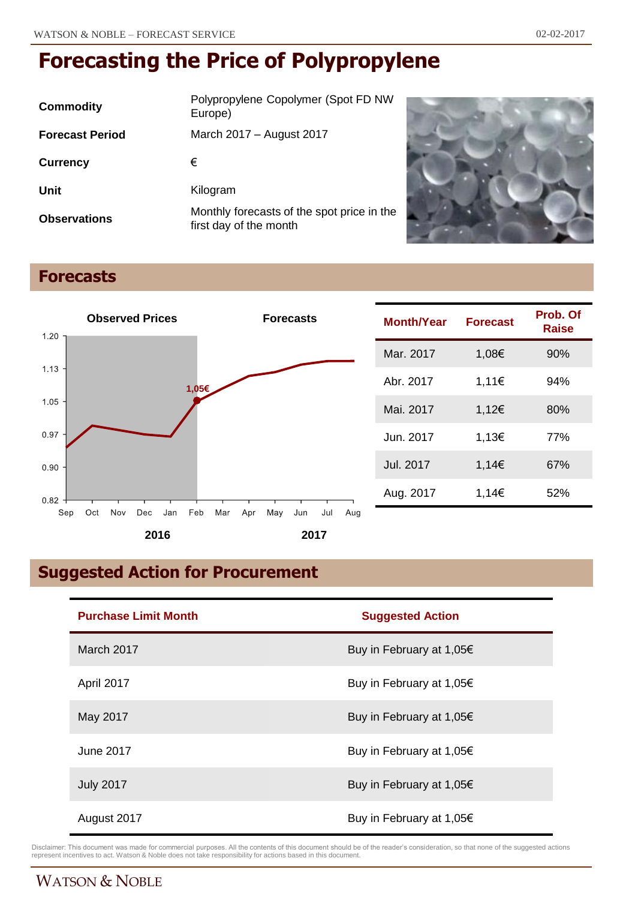| Commodity              | Polypropylene Copolymer (Spot FD NW<br>Europe)                       |
|------------------------|----------------------------------------------------------------------|
| <b>Forecast Period</b> | March 2017 - August 2017                                             |
| <b>Currency</b>        | €                                                                    |
| Unit                   | Kilogram                                                             |
| <b>Observations</b>    | Monthly forecasts of the spot price in the<br>first day of the month |



## **Forecasts**



| <b>Month/Year</b> | <b>Forecast</b> | Prob. Of<br>Raise |
|-------------------|-----------------|-------------------|
| Mar. 2017         | 1,08€           | 90%               |
| Abr. 2017         | 1,11€           | 94%               |
| Mai. 2017         | 1,12€           | 80%               |
| Jun. 2017         | 1,13€           | 77%               |
| Jul. 2017         | 1,14€           | 67%               |
| Aug. 2017         | 1,14€           | 52%               |

## **Suggested Action for Procurement**

| <b>Purchase Limit Month</b> | <b>Suggested Action</b>            |
|-----------------------------|------------------------------------|
| March 2017                  | Buy in February at 1,05€           |
| April 2017                  | Buy in February at 1,05€           |
| May 2017                    | Buy in February at 1,05€           |
| June 2017                   | Buy in February at 1,05 $\epsilon$ |
| <b>July 2017</b>            | Buy in February at 1,05€           |
| August 2017                 | Buy in February at 1,05€           |

Disclaimer: This document was made for commercial purposes. All the contents of this document should be of the reader's consideration, so that none of the suggested actions<br>represent incentives to act. Watson & Noble does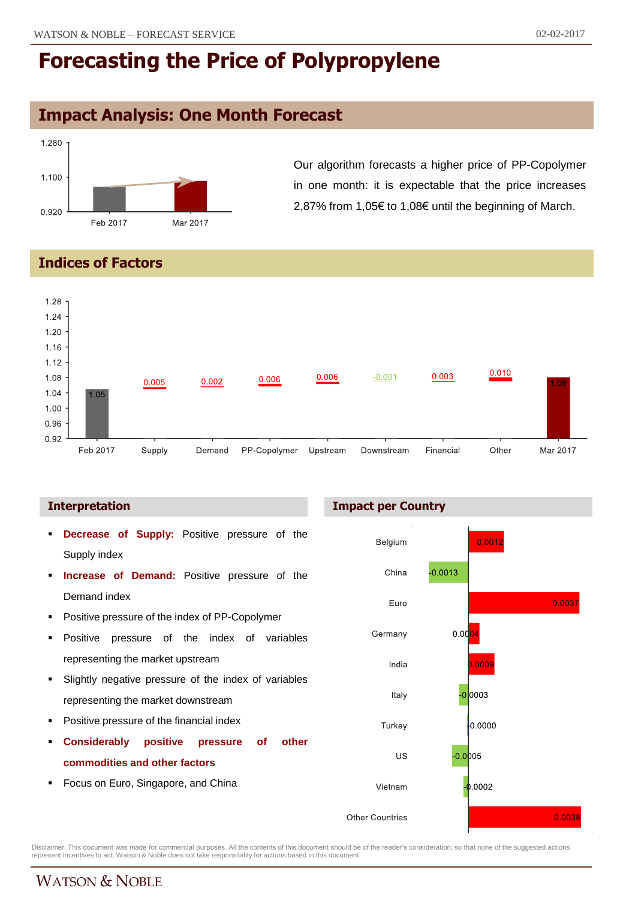## **Impact Analysis: One Month Forecast**



Our algorithm forecasts a higher price of PP-Copolymer in one month: it is expectable that the price increases 2,87% from 1,05€ to 1,08€ until the beginning of March.

### **Indices of Factors**



### **Interpretation**

- **Decrease of Supply:** Positive pressure of the Supply index
- **Increase of Demand:** Positive pressure of the Demand index
- **Positive pressure of the index of PP-Copolymer**
- Positive pressure of the index of variables representing the market upstream
- Slightly negative pressure of the index of variables representing the market downstream
- Positive pressure of the financial index
- **Considerably positive pressure of other commodities and other factors**
- Focus on Euro, Singapore, and China

### **Impact per Country**



Disclaimer: This document was made for commercial purposes. All the contents of this document should be of the reader's consideration, so that none of the suggested actions<br>represent incentives to act. Watson & Noble does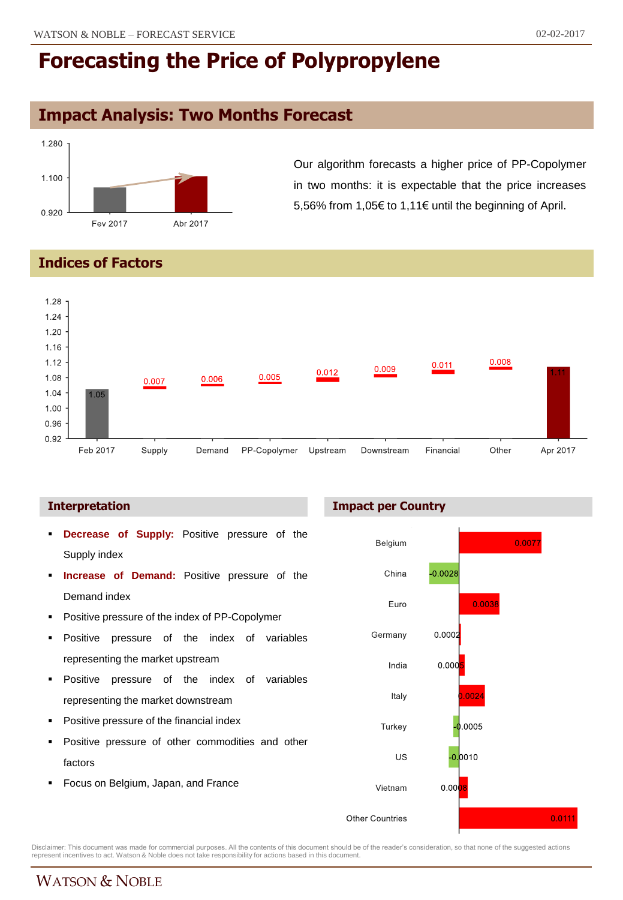## **Impact Analysis: Two Months Forecast**



Our algorithm forecasts a higher price of PP-Copolymer in two months: it is expectable that the price increases 5,56% from 1,05€ to 1,11€ until the beginning of April.

### **Indices of Factors**



- **Decrease of Supply:** Positive pressure of the Supply index
- **Increase of Demand:** Positive pressure of the Demand index
- **•** Positive pressure of the index of PP-Copolymer
- Positive pressure of the index of variables representing the market upstream
- **Positive pressure of the index of variables** representing the market downstream
- Positive pressure of the financial index
- Positive pressure of other commodities and other factors
- Focus on Belgium, Japan, and France

### **Interpretation Impact per Country**



Disclaimer: This document was made for commercial purposes. All the contents of this document should be of the reader's consideration, so that none of the suggested actions<br>represent incentives to act. Watson & Noble does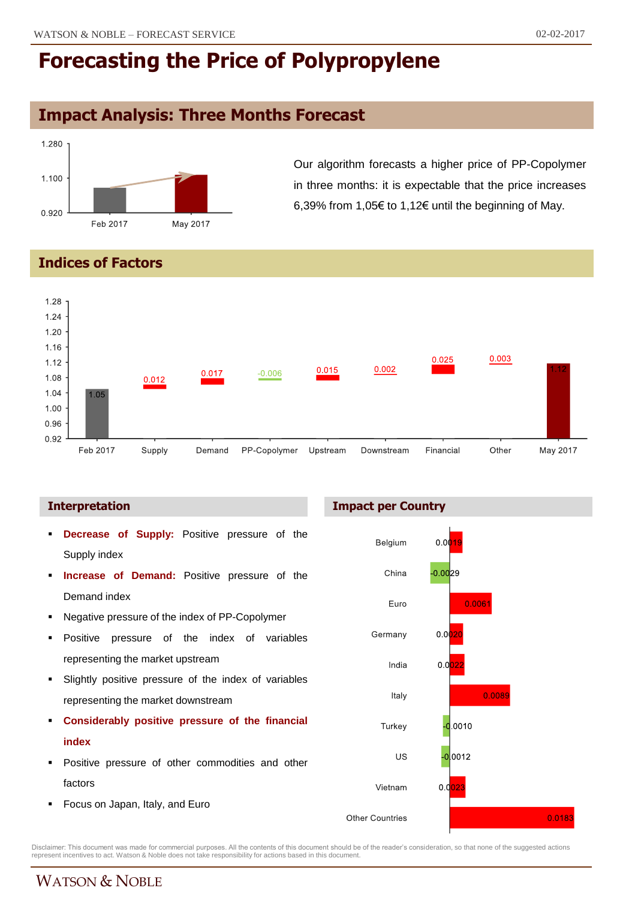## **Impact Analysis: Three Months Forecast**



Our algorithm forecasts a higher price of PP-Copolymer in three months: it is expectable that the price increases 6,39% from 1,05€ to 1,12€ until the beginning of May.

### **Indices of Factors**



- **Decrease of Supply:** Positive pressure of the Supply index
- **Increase of Demand:** Positive pressure of the Demand index
- Negative pressure of the index of PP-Copolymer
- Positive pressure of the index of variables representing the market upstream
- Slightly positive pressure of the index of variables representing the market downstream
- **Considerably positive pressure of the financial index**
- **Positive pressure of other commodities and other** factors
- **Focus on Japan, Italy, and Euro**





Disclaimer: This document was made for commercial purposes. All the contents of this document should be of the reader's consideration, so that none of the suggested actions<br>represent incentives to act. Watson & Noble does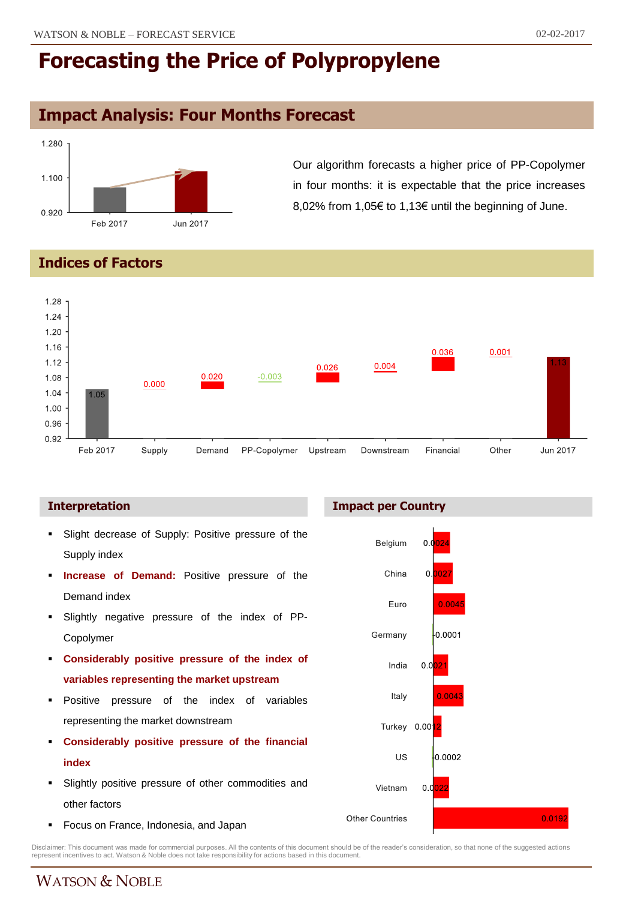## **Impact Analysis: Four Months Forecast**



Our algorithm forecasts a higher price of PP-Copolymer in four months: it is expectable that the price increases 8,02% from 1,05€ to 1,13€ until the beginning of June.

### **Indices of Factors**



- Slight decrease of Supply: Positive pressure of the Supply index
- **Increase of Demand:** Positive pressure of the Demand index
- Slightly negative pressure of the index of PP-Copolymer
- **Considerably positive pressure of the index of variables representing the market upstream**
- **Positive pressure of the index of variables** representing the market downstream
- **Considerably positive pressure of the financial index**
- Slightly positive pressure of other commodities and other factors
- Focus on France, Indonesia, and Japan

### **Interpretation Impact per Country**



Disclaimer: This document was made for commercial purposes. All the contents of this document should be of the reader's consideration, so that none of the suggested actions<br>represent incentives to act. Watson & Noble does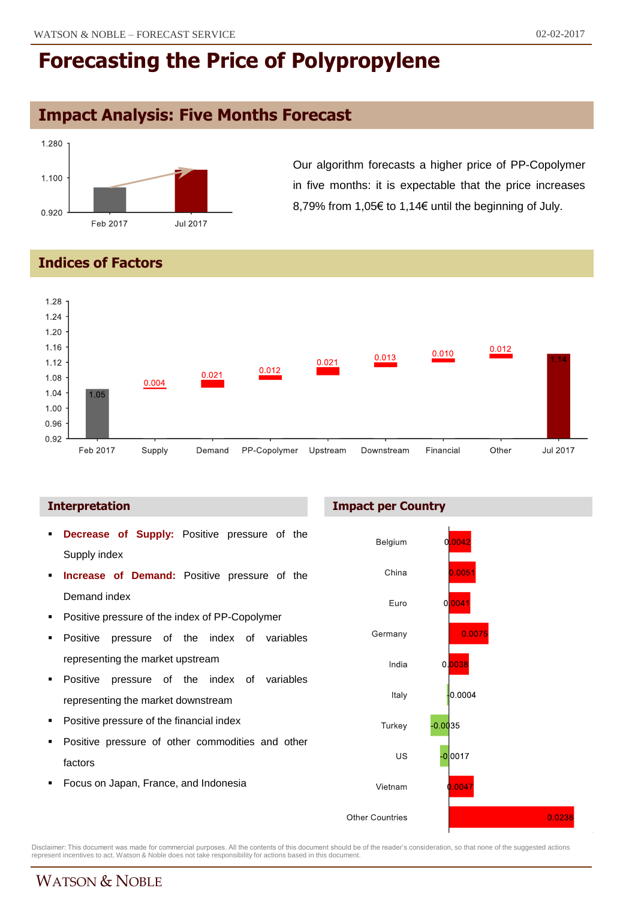## **Impact Analysis: Five Months Forecast**



Our algorithm forecasts a higher price of PP-Copolymer in five months: it is expectable that the price increases 8,79% from 1,05€ to 1,14€ until the beginning of July.

### **Indices of Factors**



- **Decrease of Supply:** Positive pressure of the Supply index
- **Increase of Demand:** Positive pressure of the Demand index
- Positive pressure of the index of PP-Copolymer
- Positive pressure of the index of variables representing the market upstream
- **Positive pressure of the index of variables** representing the market downstream
- Positive pressure of the financial index
- Positive pressure of other commodities and other factors
- Focus on Japan, France, and Indonesia

**Interpretation Impact per Country** 



Disclaimer: This document was made for commercial purposes. All the contents of this document should be of the reader's consideration, so that none of the suggested actions<br>represent incentives to act. Watson & Noble does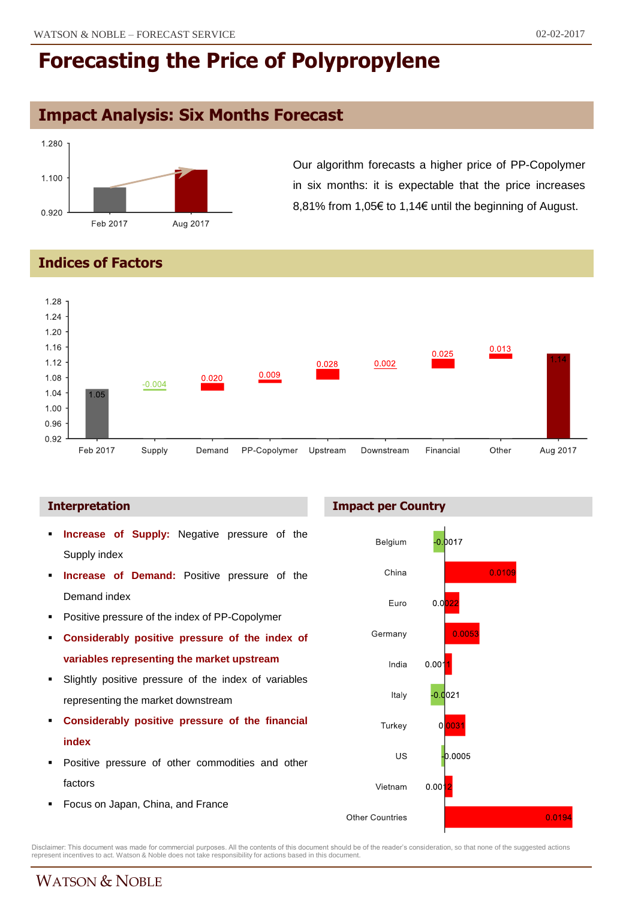### **Impact Analysis: Six Months Forecast**



Our algorithm forecasts a higher price of PP-Copolymer in six months: it is expectable that the price increases 8,81% from 1,05€ to 1,14€ until the beginning of August.

### **Indices of Factors**



- **Increase of Supply:** Negative pressure of the Supply index
- **Increase of Demand:** Positive pressure of the Demand index
- **Positive pressure of the index of PP-Copolymer**
- **Considerably positive pressure of the index of variables representing the market upstream**
- Slightly positive pressure of the index of variables representing the market downstream
- **Considerably positive pressure of the financial index**
- **Positive pressure of other commodities and other** factors
- Focus on Japan, China, and France





Disclaimer: This document was made for commercial purposes. All the contents of this document should be of the reader's consideration, so that none of the suggested actions<br>represent incentives to act. Watson & Noble does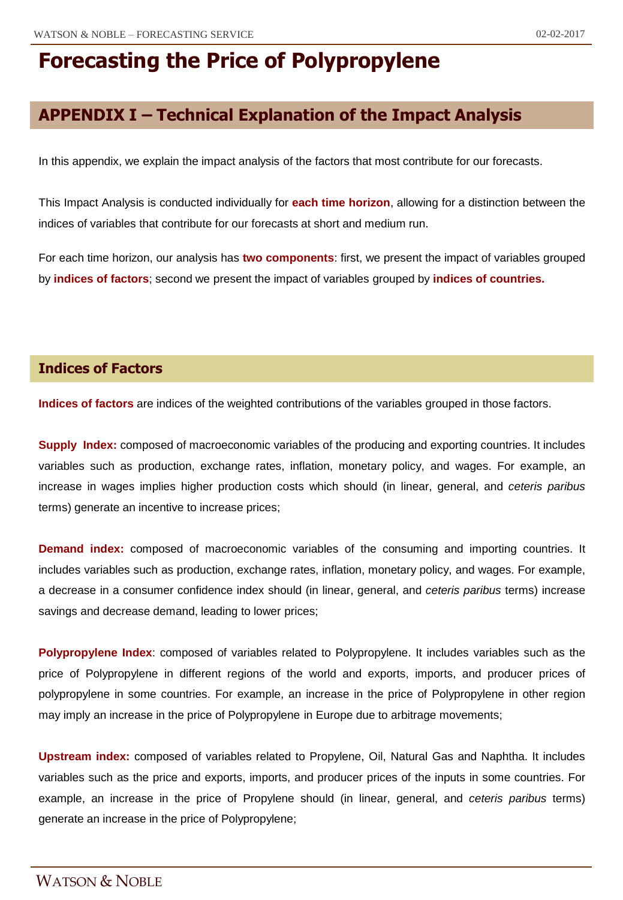## **APPENDIX I – Technical Explanation of the Impact Analysis**

In this appendix, we explain the impact analysis of the factors that most contribute for our forecasts.

This Impact Analysis is conducted individually for **each time horizon**, allowing for a distinction between the indices of variables that contribute for our forecasts at short and medium run.

For each time horizon, our analysis has **two components**: first, we present the impact of variables grouped by **indices of factors**; second we present the impact of variables grouped by **indices of countries.**

### **Indices of Factors**

**Indices of factors** are indices of the weighted contributions of the variables grouped in those factors.

**Supply Index:** composed of macroeconomic variables of the producing and exporting countries. It includes variables such as production, exchange rates, inflation, monetary policy, and wages. For example, an increase in wages implies higher production costs which should (in linear, general, and *ceteris paribus* terms) generate an incentive to increase prices;

**Demand index:** composed of macroeconomic variables of the consuming and importing countries. It includes variables such as production, exchange rates, inflation, monetary policy, and wages. For example, a decrease in a consumer confidence index should (in linear, general, and *ceteris paribus* terms) increase savings and decrease demand, leading to lower prices;

**Polypropylene Index**: composed of variables related to Polypropylene. It includes variables such as the price of Polypropylene in different regions of the world and exports, imports, and producer prices of polypropylene in some countries. For example, an increase in the price of Polypropylene in other region may imply an increase in the price of Polypropylene in Europe due to arbitrage movements;

**Upstream index:** composed of variables related to Propylene, Oil, Natural Gas and Naphtha. It includes variables such as the price and exports, imports, and producer prices of the inputs in some countries. For example, an increase in the price of Propylene should (in linear, general, and *ceteris paribus* terms) generate an increase in the price of Polypropylene;